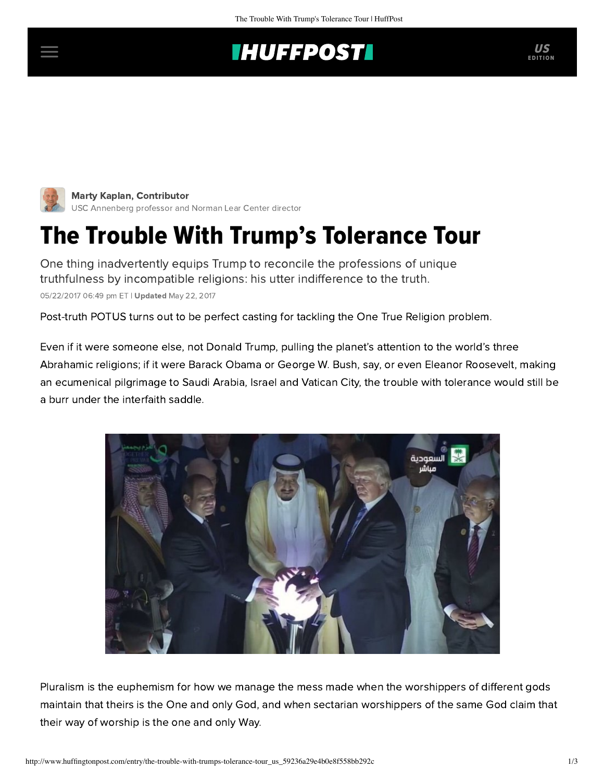## **IHUFFPOSTI**



Marty Kaplan, Contributor [USC Annenberg professor and Norman Lear Center director](http://www.huffingtonpost.com/author/marty-kaplan)

## The Trouble With Trump's Tolerance Tour

One thing inadvertently equips Trump to reconcile the professions of unique truthfulness by incompatible religions: his utter indifference to the truth. 05/22/2017 06:49 pm ET | Updated May 22, 2017

Post-truth POTUS turns out to be perfect casting for tackling the One True Religion problem.

Even if it were someone else, not Donald Trump, pulling the planet's attention to the world's three Abrahamic religions; if it were Barack Obama or George W. Bush, say, or even Eleanor Roosevelt, making an ecumenical pilgrimage to Saudi Arabia, Israel and Vatican City, the trouble with tolerance would still be a burr under the interfaith saddle.



Pluralism is the euphemism for how we manage the mess made when the worshippers of different gods maintain that theirs is the One and only God, and when sectarian worshippers of the same God claim that their way of worship is the one and only Way.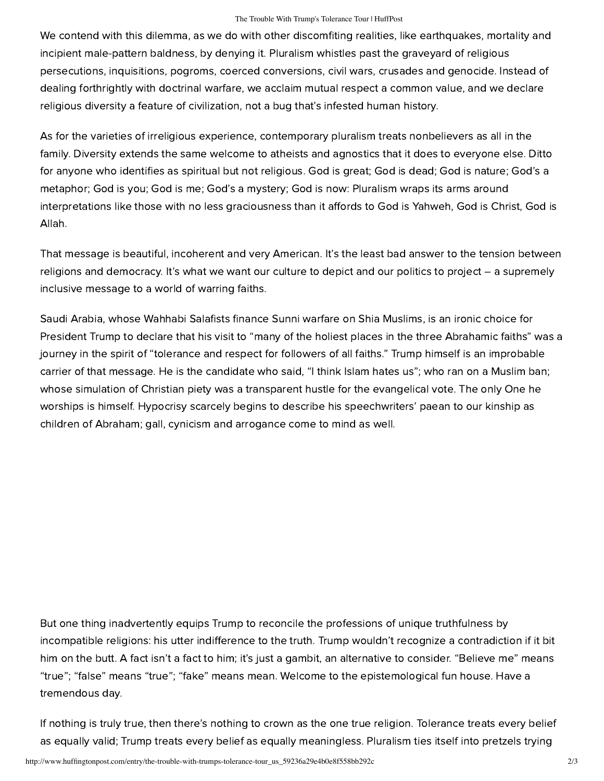## The Trouble With Trump's Tolerance Tour | HuffPost

We contend with this dilemma, as we do with other discomfiting realities, like earthquakes, mortality and incipient male-pattern baldness, by denying it. Pluralism whistles past the graveyard of religious persecutions, inquisitions, pogroms, coerced conversions, civil wars, crusades and genocide. Instead of dealing forthrightly with doctrinal warfare, we acclaim mutual respect a common value, and we declare religious diversity a feature of civilization, not a bug that's infested human history.

As for the varieties of irreligious experience, contemporary pluralism treats nonbelievers as all in the family. Diversity extends the same welcome to atheists and agnostics that it does to everyone else. Ditto for anyone who identifies as spiritual but not religious. God is great; God is dead; God is nature; God's a metaphor; God is you; God is me; God's a mystery; God is now: Pluralism wraps its arms around interpretations like those with no less graciousness than it affords to God is Yahweh, God is Christ, God is Allah.

That message is beautiful, incoherent and very American. It's the least bad answer to the tension between religions and democracy. It's what we want our culture to depict and our politics to project – a supremely inclusive message to a world of warring faiths.

Saudi Arabia, whose Wahhabi Salafists finance Sunni warfare on Shia Muslims, is an ironic choice for President Trump to declare that his visit to "many of the holiest places in the three Abrahamic faiths" was a journey in the spirit of "tolerance and respect for followers of all faiths." Trump himself is an improbable carrier of that message. He is the candidate who said, "I think Islam hates us"; who ran on a Muslim ban; whose simulation of Christian piety was a transparent hustle for the evangelical vote. The only One he worships is himself. Hypocrisy scarcely begins to describe his speechwriters' paean to our kinship as children of Abraham; gall, cynicism and arrogance come to mind as well.

But one thing inadvertently equips Trump to reconcile the professions of unique truthfulness by incompatible religions: his utter indifference to the truth. Trump wouldn't recognize a contradiction if it bit him on the butt. A fact isn't a fact to him; it's just a gambit, an alternative to consider. "Believe me" means "true"; "false" means "true"; "fake" means mean. Welcome to the epistemological fun house. Have a tremendous day.

If nothing is truly true, then there's nothing to crown as the one true religion. Tolerance treats every belief as equally valid; Trump treats every belief as equally meaningless. Pluralism ties itself into pretzels trying